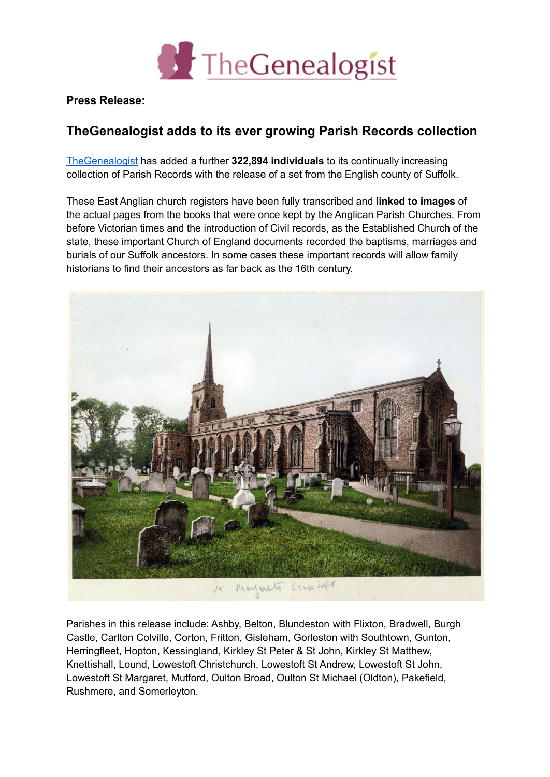

**Press Release:**

## **TheGenealogist adds to its ever growing Parish Records collection**

[TheGenealogist](https://www.thegenealogist.co.uk) has added a further **322,894 individuals** to its continually increasing collection of Parish Records with the release of a set from the English county of Suffolk.

These East Anglian church registers have been fully transcribed and **linked to images** of the actual pages from the books that were once kept by the Anglican Parish Churches. From before Victorian times and the introduction of Civil records, as the Established Church of the state, these important Church of England documents recorded the baptisms, marriages and burials of our Suffolk ancestors. In some cases these important records will allow family historians to find their ancestors as far back as the 16th century.



Parishes in this release include: Ashby, Belton, Blundeston with Flixton, Bradwell, Burgh Castle, Carlton Colville, Corton, Fritton, Gisleham, Gorleston with Southtown, Gunton, Herringfleet, Hopton, Kessingland, Kirkley St Peter & St John, Kirkley St Matthew, Knettishall, Lound, Lowestoft Christchurch, Lowestoft St Andrew, Lowestoft St John, Lowestoft St Margaret, Mutford, Oulton Broad, Oulton St Michael (Oldton), Pakefield, Rushmere, and Somerleyton.